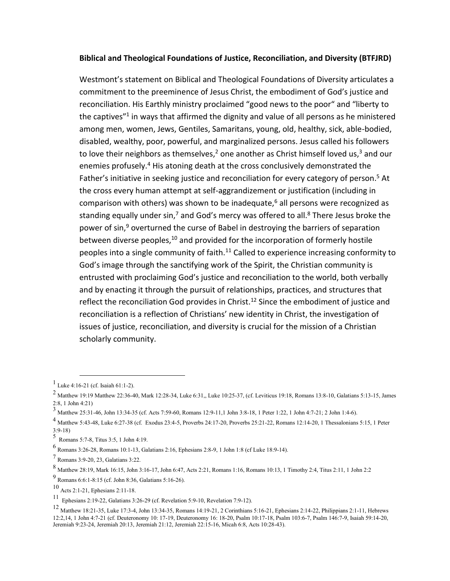## **Biblical and Theological Foundations of Justice, Reconciliation, and Diversity (BTFJRD)**

Westmont's statement on Biblical and Theological Foundations of Diversity articulates a commitment to the preeminence of Jesus Christ, the embodiment of God's justice and reconciliation. His Earthly ministry proclaimed "good news to the poor" and "liberty to the captives"<sup>1</sup> in ways that affirmed the dignity and value of all persons as he ministered among men, women, Jews, Gentiles, Samaritans, young, old, healthy, sick, able-bodied, disabled, wealthy, poor, powerful, and marginalized persons. Jesus called his followers to love their neighbors as themselves,<sup>2</sup> one another as Christ himself loved us,<sup>3</sup> and our enemies profusely.<sup>4</sup> His atoning death at the cross conclusively demonstrated the Father's initiative in seeking justice and reconciliation for every category of person.<sup>5</sup> At the cross every human attempt at self-aggrandizement or justification (including in comparison with others) was shown to be inadequate, $6$  all persons were recognized as standing equally under sin,<sup>7</sup> and God's mercy was offered to all.<sup>8</sup> There Jesus broke the power of sin,<sup>9</sup> overturned the curse of Babel in destroying the barriers of separation between diverse peoples, $10$  and provided for the incorporation of formerly hostile peoples into a single community of faith.<sup>11</sup> Called to experience increasing conformity to God's image through the sanctifying work of the Spirit, the Christian community is entrusted with proclaiming God's justice and reconciliation to the world, both verbally and by enacting it through the pursuit of relationships, practices, and structures that reflect the reconciliation God provides in Christ.<sup>12</sup> Since the embodiment of justice and reconciliation is a reflection of Christians' new identity in Christ, the investigation of issues of justice, reconciliation, and diversity is crucial for the mission of a Christian scholarly community.

<sup>1</sup> Luke 4:16-21 (cf. Isaiah 61:1-2).

 $^{2}$  Matthew 19:19 Matthew 22:36-40, Mark 12:28-34, Luke 6:31,, Luke 10:25-37, (cf. Leviticus 19:18, Romans 13:8-10, Galatians 5:13-15, James 2:8, 1 John 4:21)

<sup>3</sup> Matthew 25:31-46, John 13:34-35 (cf. Acts 7:59-60, Romans 12:9-11,1 John 3:8-18, 1 Peter 1:22, 1 John 4:7-21; 2 John 1:4-6).

<sup>4</sup> Matthew 5:43-48, Luke 6:27-38 (cf. Exodus 23:4-5, Proverbs 24:17-20, Proverbs 25:21-22, Romans 12:14-20, 1 Thessalonians 5:15, 1 Peter 3:9-18)

<sup>5</sup> Romans 5:7-8, Titus 3:5, 1 John 4:19.

<sup>6</sup> Romans 3:26-28, Romans 10:1-13, Galatians 2:16, Ephesians 2:8-9, 1 John 1:8 (cf Luke 18:9-14).

<sup>7</sup> Romans 3:9-20, 23, Galatians 3:22.

<sup>8</sup> Matthew 28:19, Mark 16:15, John 3:16-17, John 6:47, Acts 2:21, Romans 1:16, Romans 10:13, 1 Timothy 2:4, Titus 2:11, 1 John 2:2

<sup>9</sup> Romans 6:6:1-8:15 (cf. John 8:36, Galatians 5:16-26).

<sup>10</sup> Acts 2:1-21, Ephesians 2:11-18.

<sup>11</sup> Ephesians 2:19-22, Galatians 3:26-29 (cf. Revelation 5:9-10, Revelation 7:9-12).

<sup>12</sup> Matthew 18:21-35, Luke 17:3-4, John 13:34-35, Romans 14:19-21, 2 Corinthians 5:16-21, Ephesians 2:14-22, Philippians 2:1-11, Hebrews 12:2,14, 1 John 4:7-21 (cf. Deuteronomy 10: 17-19, Deuteronomy 16: 18-20, Psalm 10:17-18, Psalm 103:6-7, Psalm 146:7-9, Isaiah 59:14-20, Jeremiah 9:23-24, Jeremiah 20:13, Jeremiah 21:12, Jeremiah 22:15-16, Micah 6:8, Acts 10:28-43).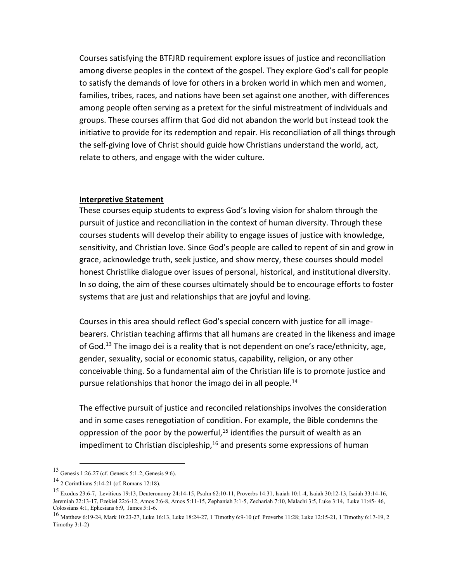Courses satisfying the BTFJRD requirement explore issues of justice and reconciliation among diverse peoples in the context of the gospel. They explore God's call for people to satisfy the demands of love for others in a broken world in which men and women, families, tribes, races, and nations have been set against one another, with differences among people often serving as a pretext for the sinful mistreatment of individuals and groups. These courses affirm that God did not abandon the world but instead took the initiative to provide for its redemption and repair. His reconciliation of all things through the self-giving love of Christ should guide how Christians understand the world, act, relate to others, and engage with the wider culture.

## **Interpretive Statement**

These courses equip students to express God's loving vision for shalom through the pursuit of justice and reconciliation in the context of human diversity. Through these courses students will develop their ability to engage issues of justice with knowledge, sensitivity, and Christian love. Since God's people are called to repent of sin and grow in grace, acknowledge truth, seek justice, and show mercy, these courses should model honest Christlike dialogue over issues of personal, historical, and institutional diversity. In so doing, the aim of these courses ultimately should be to encourage efforts to foster systems that are just and relationships that are joyful and loving.

Courses in this area should reflect God's special concern with justice for all imagebearers. Christian teaching affirms that all humans are created in the likeness and image of God.<sup>13</sup> The imago dei is a reality that is not dependent on one's race/ethnicity, age, gender, sexuality, social or economic status, capability, religion, or any other conceivable thing. So a fundamental aim of the Christian life is to promote justice and pursue relationships that honor the imago dei in all people.<sup>14</sup>

The effective pursuit of justice and reconciled relationships involves the consideration and in some cases renegotiation of condition. For example, the Bible condemns the oppression of the poor by the powerful, $15$  identifies the pursuit of wealth as an impediment to Christian discipleship, $16$  and presents some expressions of human

<sup>13</sup> Genesis 1:26-27 (cf. Genesis 5:1-2, Genesis 9:6).

<sup>14</sup> 2 Corinthians 5:14-21 (cf. Romans 12:18).

<sup>15</sup> Exodus 23:6-7, Leviticus 19:13, Deuteronomy 24:14-15, Psalm 62:10-11, Proverbs 14:31, Isaiah 10:1-4, Isaiah 30:12-13, Isaiah 33:14-16, Jeremiah 22:13-17, Ezekiel 22:6-12, Amos 2:6-8, Amos 5:11-15, Zephaniah 3:1-5, Zechariah 7:10, Malachi 3:5, Luke 3:14, Luke 11:45- 46, Colossians 4:1, Ephesians 6:9, James 5:1-6.

<sup>16</sup> Matthew 6:19-24, Mark 10:23-27, Luke 16:13, Luke 18:24-27, 1 Timothy 6:9-10 (cf. Proverbs 11:28; Luke 12:15-21, 1 Timothy 6:17-19, 2 Timothy 3:1-2)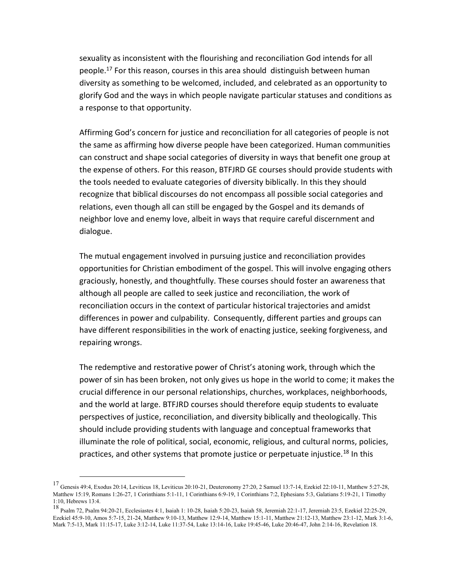sexuality as inconsistent with the flourishing and reconciliation God intends for all people.<sup>17</sup> For this reason, courses in this area should distinguish between human diversity as something to be welcomed, included, and celebrated as an opportunity to glorify God and the ways in which people navigate particular statuses and conditions as a response to that opportunity.

Affirming God's concern for justice and reconciliation for all categories of people is not the same as affirming how diverse people have been categorized. Human communities can construct and shape social categories of diversity in ways that benefit one group at the expense of others. For this reason, BTFJRD GE courses should provide students with the tools needed to evaluate categories of diversity biblically. In this they should recognize that biblical discourses do not encompass all possible social categories and relations, even though all can still be engaged by the Gospel and its demands of neighbor love and enemy love, albeit in ways that require careful discernment and dialogue.

The mutual engagement involved in pursuing justice and reconciliation provides opportunities for Christian embodiment of the gospel. This will involve engaging others graciously, honestly, and thoughtfully. These courses should foster an awareness that although all people are called to seek justice and reconciliation, the work of reconciliation occurs in the context of particular historical trajectories and amidst differences in power and culpability. Consequently, different parties and groups can have different responsibilities in the work of enacting justice, seeking forgiveness, and repairing wrongs.

The redemptive and restorative power of Christ's atoning work, through which the power of sin has been broken, not only gives us hope in the world to come; it makes the crucial difference in our personal relationships, churches, workplaces, neighborhoods, and the world at large. BTFJRD courses should therefore equip students to evaluate perspectives of justice, reconciliation, and diversity biblically and theologically. This should include providing students with language and conceptual frameworks that illuminate the role of political, social, economic, religious, and cultural norms, policies, practices, and other systems that promote justice or perpetuate injustice.<sup>18</sup> In this

 $^{17}$  Genesis 49:4, Exodus 20:14, Leviticus 18, Leviticus 20:10-21, Deuteronomy 27:20, 2 Samuel 13:7-14, Ezekiel 22:10-11, Matthew 5:27-28, Matthew 15:19, Romans 1:26-27, 1 Corinthians 5:1-11, 1 Corinthians 6:9-19, 1 Corinthians 7:2, Ephesians 5:3, Galatians 5:19-21, 1 Timothy 1:10, Hebrews 13:4.

<sup>18</sup> Psalm 72, Psalm 94:20-21, Ecclesiastes 4:1, Isaiah 1: 10-28, Isaiah 5:20-23, Isaiah 58, Jeremiah 22:1-17, Jeremiah 23:5, Ezekiel 22:25-29, Ezekiel 45:9-10, Amos 5:7-15, 21-24, Matthew 9:10-13, Matthew 12:9-14, Matthew 15:1-11, Matthew 21:12-13, Matthew 23:1-12, Mark 3:1-6, Mark 7:5-13, Mark 11:15-17, Luke 3:12-14, Luke 11:37-54, Luke 13:14-16, Luke 19:45-46, Luke 20:46-47, John 2:14-16, Revelation 18.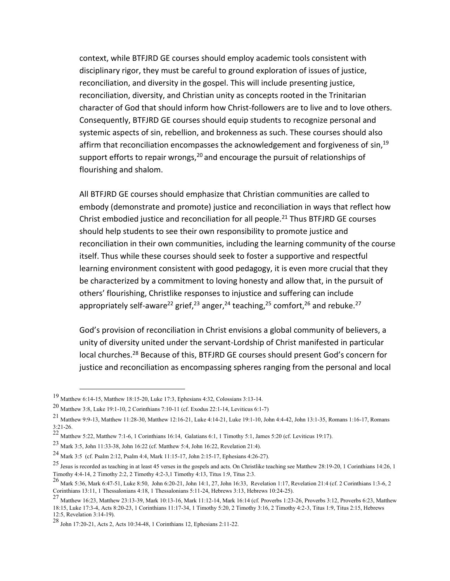context, while BTFJRD GE courses should employ academic tools consistent with disciplinary rigor, they must be careful to ground exploration of issues of justice, reconciliation, and diversity in the gospel. This will include presenting justice, reconciliation, diversity, and Christian unity as concepts rooted in the Trinitarian character of God that should inform how Christ-followers are to live and to love others. Consequently, BTFJRD GE courses should equip students to recognize personal and systemic aspects of sin, rebellion, and brokenness as such. These courses should also affirm that reconciliation encompasses the acknowledgement and forgiveness of  $sin<sup>19</sup>$ support efforts to repair wrongs,  $20$  and encourage the pursuit of relationships of flourishing and shalom.

All BTFJRD GE courses should emphasize that Christian communities are called to embody (demonstrate and promote) justice and reconciliation in ways that reflect how Christ embodied justice and reconciliation for all people.<sup>21</sup> Thus BTFJRD GE courses should help students to see their own responsibility to promote justice and reconciliation in their own communities, including the learning community of the course itself. Thus while these courses should seek to foster a supportive and respectful learning environment consistent with good pedagogy, it is even more crucial that they be characterized by a commitment to loving honesty and allow that, in the pursuit of others' flourishing, Christlike responses to injustice and suffering can include appropriately self-aware<sup>22</sup> grief,<sup>23</sup> anger,<sup>24</sup> teaching,<sup>25</sup> comfort,<sup>26</sup> and rebuke.<sup>27</sup>

God's provision of reconciliation in Christ envisions a global community of believers, a unity of diversity united under the servant-Lordship of Christ manifested in particular local churches.<sup>28</sup> Because of this, BTFJRD GE courses should present God's concern for justice and reconciliation as encompassing spheres ranging from the personal and local

<sup>19</sup> Matthew 6:14-15, Matthew 18:15-20, Luke 17:3, Ephesians 4:32, Colossians 3:13-14.

<sup>20</sup> Matthew 3:8, Luke 19:1-10, 2 Corinthians 7:10-11 (cf. Exodus 22:1-14, Leviticus 6:1-7)

<sup>21</sup> Matthew 9:9-13, Matthew 11:28-30, Matthew 12:16-21, Luke 4:14-21, Luke 19:1-10, John 4:4-42, John 13:1-35, Romans 1:16-17, Romans 3:21-26.

<sup>&</sup>lt;sup>22</sup> Matthew 5:22, Matthew 7:1-6, 1 Corinthians 16:14, Galatians 6:1, 1 Timothy 5:1, James 5:20 (cf. Leviticus 19:17).

<sup>23</sup> Mark 3:5, John 11:33-38, John 16:22 (cf. Matthew 5:4, John 16:22, Revelation 21:4).

<sup>24</sup> Mark 3:5 (cf. Psalm 2:12, Psalm 4:4, Mark 11:15-17, John 2:15-17, Ephesians 4:26-27).

<sup>25</sup> Jesus is recorded as teaching in at least 45 verses in the gospels and acts. On Christlike teaching see Matthew 28:19-20, 1 Corinthians 14:26, 1 Timothy 4:4-14, 2 Timothy 2:2, 2 Timothy 4:2-3,1 Timothy 4:13, Titus 1:9, Titus 2:3.

<sup>26</sup> Mark 5:36, Mark 6:47-51, Luke 8:50, John 6:20-21, John 14:1, 27, John 16:33, Revelation 1:17, Revelation 21:4 (cf. 2 Corinthians 1:3-6, 2 Corinthians 13:11, 1 Thessalonians 4:18, 1 Thessalonians 5:11-24, Hebrews 3:13, Hebrews 10:24-25).

<sup>27</sup> Matthew 16:23, Matthew 23:13-39, Mark 10:13-16, Mark 11:12-14, Mark 16:14 (cf. Proverbs 1:23-26, Proverbs 3:12, Proverbs 6:23, Matthew 18:15, Luke 17:3-4, Acts 8:20-23, 1 Corinthians 11:17-34, 1 Timothy 5:20, 2 Timothy 3:16, 2 Timothy 4:2-3, Titus 1:9, Titus 2:15, Hebrews 12:5, Revelation 3:14-19).

<sup>28</sup> John 17:20-21, Acts 2, Acts 10:34-48, 1 Corinthians 12, Ephesians 2:11-22.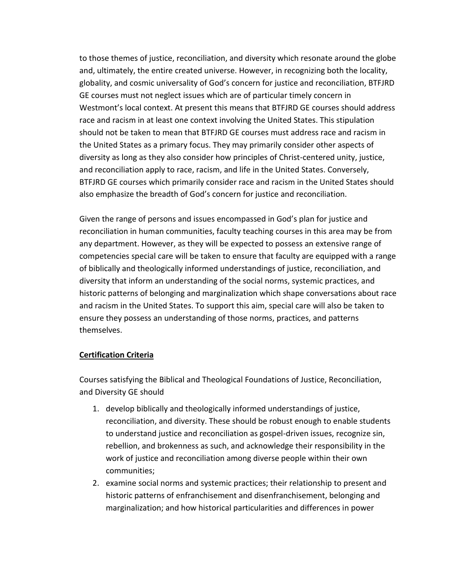to those themes of justice, reconciliation, and diversity which resonate around the globe and, ultimately, the entire created universe. However, in recognizing both the locality, globality, and cosmic universality of God's concern for justice and reconciliation, BTFJRD GE courses must not neglect issues which are of particular timely concern in Westmont's local context. At present this means that BTFJRD GE courses should address race and racism in at least one context involving the United States. This stipulation should not be taken to mean that BTFJRD GE courses must address race and racism in the United States as a primary focus. They may primarily consider other aspects of diversity as long as they also consider how principles of Christ-centered unity, justice, and reconciliation apply to race, racism, and life in the United States. Conversely, BTFJRD GE courses which primarily consider race and racism in the United States should also emphasize the breadth of God's concern for justice and reconciliation.

Given the range of persons and issues encompassed in God's plan for justice and reconciliation in human communities, faculty teaching courses in this area may be from any department. However, as they will be expected to possess an extensive range of competencies special care will be taken to ensure that faculty are equipped with a range of biblically and theologically informed understandings of justice, reconciliation, and diversity that inform an understanding of the social norms, systemic practices, and historic patterns of belonging and marginalization which shape conversations about race and racism in the United States. To support this aim, special care will also be taken to ensure they possess an understanding of those norms, practices, and patterns themselves.

## **Certification Criteria**

Courses satisfying the Biblical and Theological Foundations of Justice, Reconciliation, and Diversity GE should

- 1. develop biblically and theologically informed understandings of justice, reconciliation, and diversity. These should be robust enough to enable students to understand justice and reconciliation as gospel-driven issues, recognize sin, rebellion, and brokenness as such, and acknowledge their responsibility in the work of justice and reconciliation among diverse people within their own communities;
- 2. examine social norms and systemic practices; their relationship to present and historic patterns of enfranchisement and disenfranchisement, belonging and marginalization; and how historical particularities and differences in power